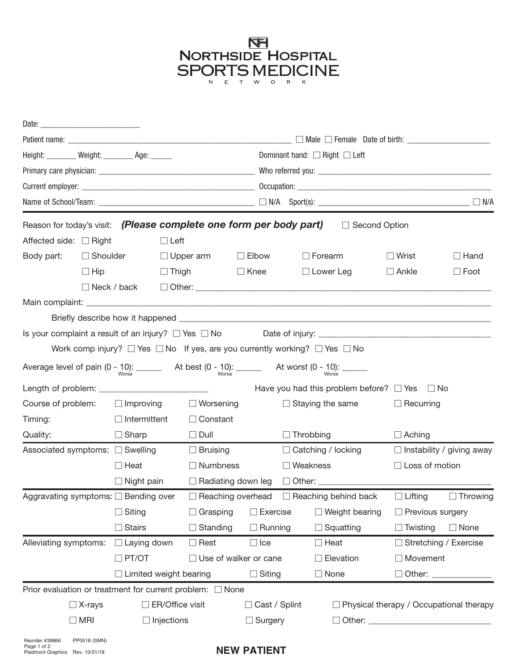

|                                                                                     |                 |                               |                                  |                  |                              |                                         | Patient name: $\_\_\_\_\_\_\_\_\_\_\_$                                                                                  |                                                |                                  |  |  |  |
|-------------------------------------------------------------------------------------|-----------------|-------------------------------|----------------------------------|------------------|------------------------------|-----------------------------------------|-------------------------------------------------------------------------------------------------------------------------|------------------------------------------------|----------------------------------|--|--|--|
| Height: ________ Weight: ________ Age: ______                                       |                 |                               |                                  |                  |                              | Dominant hand: $\Box$ Right $\Box$ Left |                                                                                                                         |                                                |                                  |  |  |  |
|                                                                                     |                 |                               |                                  |                  |                              |                                         |                                                                                                                         |                                                |                                  |  |  |  |
|                                                                                     |                 |                               |                                  |                  |                              |                                         |                                                                                                                         |                                                |                                  |  |  |  |
|                                                                                     |                 |                               |                                  |                  |                              |                                         |                                                                                                                         |                                                |                                  |  |  |  |
| Reason for today's visit: (Please complete one form per body part)                  |                 |                               |                                  |                  |                              |                                         | $\Box$ Second Option                                                                                                    |                                                |                                  |  |  |  |
| Affected side: $\Box$ Right                                                         |                 |                               | $\Box$ Left                      |                  |                              |                                         |                                                                                                                         |                                                |                                  |  |  |  |
| Body part:                                                                          | $\Box$ Shoulder |                               | $\Box$ Upper arm<br>$\Box$ Thigh |                  | $\Box$ Elbow                 |                                         | $\Box$ Forearm                                                                                                          | $\Box$ Wrist<br>$\Box$ Ankle                   | $\Box$ Hand<br>$\Box$ Foot       |  |  |  |
|                                                                                     | $\Box$ Hip      |                               |                                  |                  | $\Box$ Knee                  |                                         | $\Box$ Lower Leg                                                                                                        |                                                |                                  |  |  |  |
|                                                                                     |                 | $\Box$ Neck / back            |                                  |                  |                              |                                         |                                                                                                                         |                                                |                                  |  |  |  |
|                                                                                     |                 |                               |                                  |                  |                              |                                         |                                                                                                                         |                                                |                                  |  |  |  |
|                                                                                     |                 |                               |                                  |                  |                              |                                         |                                                                                                                         |                                                |                                  |  |  |  |
|                                                                                     |                 |                               |                                  |                  |                              |                                         |                                                                                                                         |                                                |                                  |  |  |  |
|                                                                                     |                 |                               |                                  |                  |                              |                                         | Work comp injury? $\Box$ Yes $\Box$ No If yes, are you currently working? $\Box$ Yes $\Box$ No                          |                                                |                                  |  |  |  |
|                                                                                     |                 |                               |                                  |                  |                              |                                         | Average level of pain $(0 - 10)$ : $\frac{1}{2}$ At best $(0 - 10)$ : $\frac{1}{2}$ At worst $(0 - 10)$ : $\frac{1}{2}$ |                                                |                                  |  |  |  |
|                                                                                     |                 |                               |                                  |                  |                              |                                         | Have you had this problem before? $\Box$ Yes $\Box$ No                                                                  |                                                |                                  |  |  |  |
| Course of problem:                                                                  |                 | $\Box$ Improving              |                                  | $\Box$ Worsening |                              |                                         | $\Box$ Staying the same                                                                                                 |                                                | $\Box$ Recurring                 |  |  |  |
| Timing:                                                                             |                 | $\Box$ Intermittent           |                                  | $\Box$ Constant  |                              |                                         |                                                                                                                         |                                                |                                  |  |  |  |
| Quality:                                                                            |                 | $\Box$ Sharp                  |                                  | $\Box$ Dull      |                              | $\Box$ Throbbing                        |                                                                                                                         | $\Box$ Aching                                  |                                  |  |  |  |
| Associated symptoms: □ Swelling                                                     |                 |                               |                                  | $\Box$ Bruising  |                              |                                         | $\Box$ Catching / locking                                                                                               |                                                | $\Box$ Instability / giving away |  |  |  |
|                                                                                     |                 | $\Box$ Heat                   |                                  | $\Box$ Numbness  |                              | $\Box$ Weakness                         |                                                                                                                         |                                                | $\Box$ Loss of motion            |  |  |  |
|                                                                                     |                 | $\Box$ Night pain             |                                  |                  |                              |                                         |                                                                                                                         |                                                |                                  |  |  |  |
| Aggravating symptoms: □ Bending over   □ Reaching overhead   □ Reaching behind back |                 |                               |                                  |                  |                              |                                         |                                                                                                                         |                                                | □ Lifting □ Throwing             |  |  |  |
|                                                                                     |                 | $\Box$ Siting                 |                                  | $\Box$ Grasping  | $\Box$ Exercise              |                                         | $\Box$ Weight bearing                                                                                                   | □ Previous surgery                             |                                  |  |  |  |
|                                                                                     |                 | $\Box$ Stairs                 |                                  | $\Box$ Standing  | $\Box$ Running               |                                         | $\Box$ Squatting                                                                                                        | $\Box$ Twisting                                | $\Box$ None                      |  |  |  |
| Alleviating symptoms:                                                               |                 | $\Box$ Laying down            |                                  | $\Box$ Rest      | $\Box$ Ice                   |                                         | $\Box$ Heat                                                                                                             |                                                | □ Stretching / Exercise          |  |  |  |
|                                                                                     |                 | $\Box$ PT/OT                  |                                  |                  | $\Box$ Use of walker or cane |                                         | $\Box$ Elevation                                                                                                        |                                                | $\Box$ Movement                  |  |  |  |
|                                                                                     |                 | $\Box$ Limited weight bearing |                                  |                  | $\Box$ Siting                |                                         | $\Box$ None                                                                                                             | □ Other: <u>___________</u>                    |                                  |  |  |  |
| Prior evaluation or treatment for current problem: $\Box$ None                      |                 |                               |                                  |                  |                              |                                         |                                                                                                                         |                                                |                                  |  |  |  |
| $\Box$ X-rays<br>$\Box$ MRI                                                         |                 |                               | $\Box$ ER/Office visit           |                  | □ Cast / Splint              |                                         |                                                                                                                         | $\Box$ Physical therapy / Occupational therapy |                                  |  |  |  |
|                                                                                     |                 |                               | $\Box$ Injections                |                  | $\Box$ Surgery               |                                         |                                                                                                                         |                                                |                                  |  |  |  |
| Reorder #39866<br>Page 1 of 2                                                       | PP0518 (SMN)    |                               |                                  |                  |                              |                                         |                                                                                                                         |                                                |                                  |  |  |  |

## **NEW PATIENT**